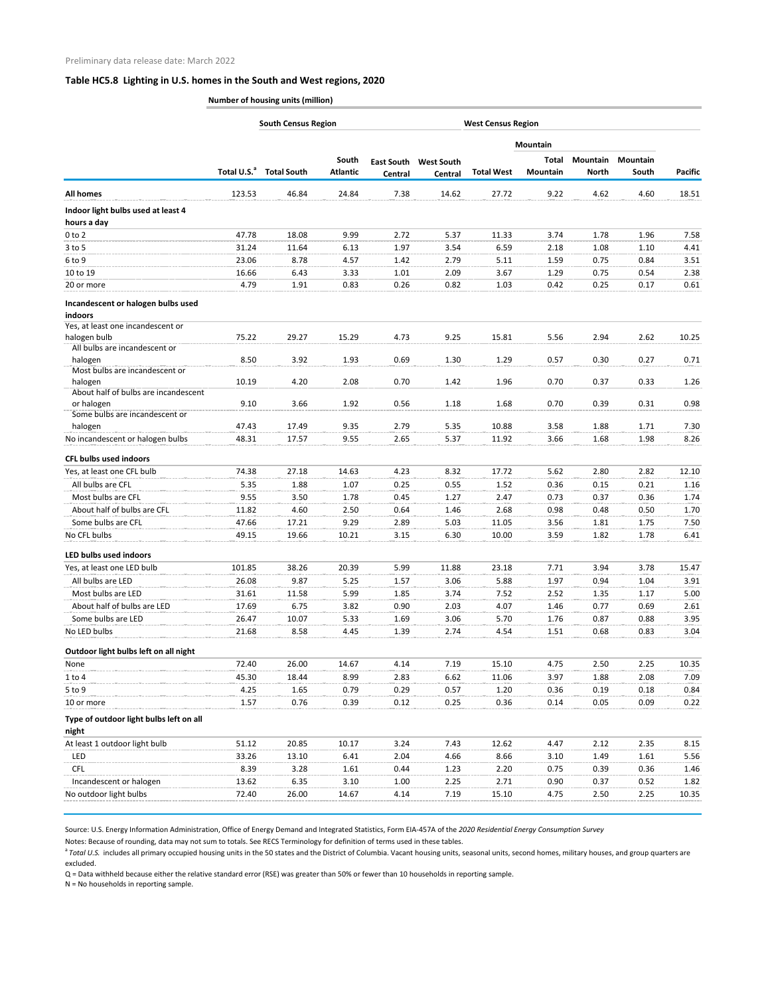## **Table HC5.8 Lighting in U.S. homes in the South and West regions, 2020**

**Number of housing units (million)**

|                                                      |                         | <b>South Census Region</b> |                          | <b>West Census Region</b>    |                              |                   |                          |                                 |                          |                |
|------------------------------------------------------|-------------------------|----------------------------|--------------------------|------------------------------|------------------------------|-------------------|--------------------------|---------------------------------|--------------------------|----------------|
|                                                      | Total U.S. <sup>a</sup> | <b>Total South</b>         | South<br><b>Atlantic</b> | <b>East South</b><br>Central | <b>West South</b><br>Central |                   | <b>Mountain</b>          |                                 |                          | <b>Pacific</b> |
|                                                      |                         |                            |                          |                              |                              | <b>Total West</b> | Total<br><b>Mountain</b> | <b>Mountain</b><br><b>North</b> | <b>Mountain</b><br>South |                |
| <b>All homes</b>                                     | 123.53                  | 46.84                      | 24.84                    | 7.38                         | 14.62                        | 27.72             | 9.22                     | 4.62                            | 4.60                     | 18.51          |
| Indoor light bulbs used at least 4                   |                         |                            |                          |                              |                              |                   |                          |                                 |                          |                |
| hours a day                                          |                         |                            |                          |                              |                              |                   |                          |                                 |                          |                |
| $0$ to $2$                                           | 47.78                   | 18.08                      | 9.99                     | 2.72                         | 5.37                         | 11.33             | 3.74                     | 1.78                            | 1.96                     | 7.58           |
| $3$ to 5                                             | 31.24                   | 11.64                      | 6.13                     | 1.97                         | 3.54                         | 6.59              | 2.18                     | 1.08                            | 1.10                     | 4.41           |
| 6 to 9                                               | 23.06                   | 8.78                       | 4.57                     | 1.42                         | 2.79                         | 5.11              | 1.59                     | 0.75                            | 0.84                     | 3.51           |
| 10 to 19                                             | 16.66                   | 6.43                       | 3.33                     | 1.01                         | 2.09                         | 3.67              | 1.29                     | 0.75                            | 0.54                     | 2.38           |
| 20 or more                                           | 4.79                    | 1.91                       | 0.83                     | 0.26                         | 0.82                         | 1.03              | 0.42                     | 0.25                            | 0.17                     | 0.61           |
| Incandescent or halogen bulbs used<br><i>indoors</i> |                         |                            |                          |                              |                              |                   |                          |                                 |                          |                |
| Yes, at least one incandescent or                    |                         |                            |                          |                              |                              |                   |                          |                                 |                          |                |
| halogen bulb<br>All bulbs are incandescent or        | 75.22                   | 29.27                      | 15.29                    | 4.73                         | 9.25                         | 15.81             | 5.56                     | 2.94                            | 2.62                     | 10.25          |
| halogen                                              | 8.50                    | 3.92                       | 1.93                     | 0.69                         | 1.30                         | 1.29              | 0.57                     | 0.30                            | 0.27                     | 0.71           |
| Most bulbs are incandescent or                       |                         |                            |                          |                              |                              |                   |                          |                                 |                          |                |
| halogen<br>About half of bulbs are incandescent      | 10.19                   | 4.20                       | 2.08                     | 0.70                         | 1.42                         | 1.96              | 0.70                     | 0.37                            | 0.33                     | 1.26           |
| or halogen                                           | 9.10                    | 3.66                       | 1.92                     | 0.56                         | 1.18                         | 1.68              | 0.70                     | 0.39                            | 0.31                     | 0.98           |
| Some bulbs are incandescent or                       |                         |                            |                          |                              |                              |                   |                          |                                 |                          |                |
| halogen                                              | 47.43                   | 17.49                      | 9.35                     | 2.79                         | 5.35                         | 10.88             | 3.58                     | 1.88                            | 1.71                     | 7.30           |
| No incandescent or halogen bulbs                     | 48.31                   | 17.57                      | 9.55                     | 2.65                         | 5.37                         | 11.92             | 3.66                     | 1.68                            | 1.98                     | 8.26           |
| <b>CFL bulbs used indoors</b>                        |                         |                            |                          |                              |                              |                   |                          |                                 |                          |                |
| Yes, at least one CFL bulb                           | 74.38                   | 27.18                      | 14.63                    | 4.23                         | 8.32                         | 17.72             | 5.62                     | 2.80                            | 2.82                     | 12.10          |
| All bulbs are CFL                                    | 5.35                    | 1.88                       | 1.07                     | 0.25                         | 0.55                         | 1.52              | 0.36                     | 0.15                            | 0.21                     | 1.16           |
| Most bulbs are CFL                                   | 9.55                    | 3.50                       | 1.78                     | 0.45                         | 1.27                         | 2.47              | 0.73                     | 0.37                            | 0.36                     | 1.74           |
| About half of bulbs are CFL                          | 11.82                   | 4.60                       | 2.50                     | 0.64                         | 1.46                         | 2.68              | 0.98                     | 0.48                            | 0.50                     | 1.70           |
| Some bulbs are CFL                                   | 47.66                   | 17.21                      | 9.29                     | 2.89                         | 5.03                         | 11.05             | 3.56                     | 1.81                            | 1.75                     | 7.50           |
| No CFL bulbs                                         | 49.15                   | 19.66                      | 10.21                    | 3.15                         | 6.30                         | 10.00             | 3.59                     | 1.82                            | 1.78                     | 6.41           |
|                                                      |                         |                            |                          |                              |                              |                   |                          |                                 |                          |                |
| <b>LED bulbs used indoors</b>                        |                         |                            |                          |                              |                              |                   |                          |                                 |                          |                |
| Yes, at least one LED bulb                           | 101.85                  | 38.26                      | 20.39                    | 5.99                         | 11.88                        | 23.18             | 7.71                     | 3.94                            | 3.78                     | 15.47          |
| All bulbs are LED                                    | 26.08                   | 9.87                       | 5.25                     | 1.57                         | 3.06                         | 5.88              | 1.97                     | 0.94                            | 1.04                     | 3.91           |
| Most bulbs are LED                                   | 31.61                   | 11.58                      | 5.99                     | 1.85                         | 3.74                         | 7.52              | 2.52                     | 1.35                            | 1.17                     | 5.00           |
| About half of bulbs are LED                          | 17.69                   | 6.75                       | 3.82                     | 0.90                         | 2.03                         | 4.07              | 1.46                     | 0.77                            | 0.69                     | 2.61           |
| Some bulbs are LED                                   | 26.47                   | 10.07                      | 5.33                     | 1.69                         | 3.06                         | 5.70              | 1.76                     | 0.87                            | 0.88                     | 3.95           |
| No LED bulbs                                         | 21.68                   | 8.58                       | 4.45                     | 1.39                         | 2.74                         | 4.54              | 1.51                     | 0.68                            | 0.83                     | 3.04           |
| Outdoor light bulbs left on all night                |                         |                            |                          |                              |                              |                   |                          |                                 |                          |                |
| None                                                 | 72.40                   | 26.00                      | 14.67                    | 4.14                         | 7.19                         | 15.10             | 4.75                     | 2.50                            | 2.25                     | 10.35          |
| $1$ to $4$                                           | 45.30                   | 18.44                      | 8.99                     | 2.83                         | 6.62                         | 11.06             | 3.97                     | 1.88                            | 2.08                     | 7.09           |
| $5$ to $9$                                           | 4.25                    | 1.65                       | 0.79                     | 0.29                         | 0.57                         | 1.20              | 0.36                     | 0.19                            | 0.18                     | 0.84           |
| 10 or more                                           | 1.57                    | 0.76                       | 0.39                     | 0.12                         | 0.25                         | 0.36              | 0.14                     | 0.05                            | 0.09                     | 0.22           |
| Type of outdoor light bulbs left on all              |                         |                            |                          |                              |                              |                   |                          |                                 |                          |                |
| night<br>At least 1 outdoor light bulb               | 51.12                   | 20.85                      | 10.17                    | 3.24                         | 7.43                         | 12.62             | 4.47                     | 2.12                            | 2.35                     | 8.15           |
| LED                                                  | 33.26                   | 13.10                      | 6.41                     | 2.04                         | 4.66                         | 8.66              | 3.10                     | 1.49                            | 1.61                     | 5.56           |
| <b>CFL</b>                                           | 8.39                    | 3.28                       | 1.61                     | 0.44                         | 1.23                         | 2.20              | 0.75                     | 0.39                            | 0.36                     | 1.46           |
| Incandescent or halogen                              | 13.62                   | 6.35                       | 3.10                     | 1.00                         | 2.25                         | 2.71              | 0.90                     | 0.37                            | 0.52                     | 1.82           |
| No outdoor light bulbs                               | 72.40                   | 26.00                      | 14.67                    | 4.14                         | 7.19                         | 15.10             | 4.75                     | 2.50                            | 2.25                     | 10.35          |
|                                                      |                         |                            |                          |                              |                              |                   |                          |                                 |                          |                |

Source: U.S. Energy Information Administration, Office of Energy Demand and Integrated Statistics, Form EIA-457A of the *2020 Residential Energy Consumption Survey* 

Notes: Because of rounding, data may not sum to totals. See RECS Terminology for definition of terms used in these tables.

<sup>a</sup> Total U.S. includes all primary occupied housing units in the 50 states and the District of Columbia. Vacant housing units, seasonal units, second homes, military houses, and group quarters are excluded.

Q = Data withheld because either the relative standard error (RSE) was greater than 50% or fewer than 10 households in reporting sample.

N = No households in reporting sample.